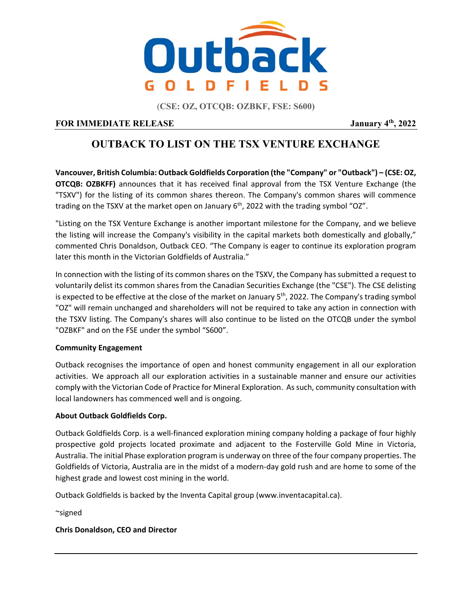

**(CSE: OZ, OTCQB: OZBKF, FSE: S600)**

## **FOR IMMEDIATE RELEASE** January  $4^{\text{th}}$ , 2022

# **OUTBACK TO LIST ON THE TSX VENTURE EXCHANGE**

**Vancouver, British Columbia: Outback Goldfields Corporation (the "Company" or "Outback") – (CSE: OZ, OTCQB: OZBKFF)** announces that it has received final approval from the TSX Venture Exchange (the "TSXV") for the listing of its common shares thereon. The Company's common shares will commence trading on the TSXV at the market open on January  $6<sup>th</sup>$ , 2022 with the trading symbol "OZ".

"Listing on the TSX Venture Exchange is another important milestone for the Company, and we believe the listing will increase the Company's visibility in the capital markets both domestically and globally," commented Chris Donaldson, Outback CEO. "The Company is eager to continue its exploration program later this month in the Victorian Goldfields of Australia."

In connection with the listing of its common shares on the TSXV, the Company has submitted a request to voluntarily delist its common shares from the Canadian Securities Exchange (the "CSE"). The CSE delisting is expected to be effective at the close of the market on January 5<sup>th</sup>, 2022. The Company's trading symbol "OZ" will remain unchanged and shareholders will not be required to take any action in connection with the TSXV listing. The Company's shares will also continue to be listed on the OTCQB under the symbol "OZBKF" and on the FSE under the symbol "S600".

## **Community Engagement**

Outback recognises the importance of open and honest community engagement in all our exploration activities. We approach all our exploration activities in a sustainable manner and ensure our activities comply with the Victorian Code of Practice for Mineral Exploration. As such, community consultation with local landowners has commenced well and is ongoing.

## **About Outback Goldfields Corp.**

Outback Goldfields Corp. is a well‐financed exploration mining company holding a package of four highly prospective gold projects located proximate and adjacent to the Fosterville Gold Mine in Victoria, Australia. The initial Phase exploration program is underway on three of the four company properties. The Goldfields of Victoria, Australia are in the midst of a modern‐day gold rush and are home to some of the highest grade and lowest cost mining in the world.

Outback Goldfields is backed by the Inventa Capital group (www.inventacapital.ca).

~signed

## **Chris Donaldson, CEO and Director**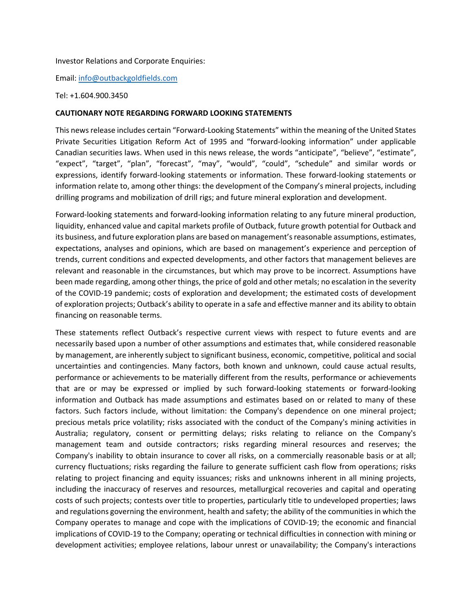#### Investor Relations and Corporate Enquiries:

Email: info@outbackgoldfields.com

#### Tel: +1.604.900.3450

#### **CAUTIONARY NOTE REGARDING FORWARD LOOKING STATEMENTS**

This news release includes certain "Forward‐Looking Statements" within the meaning of the United States Private Securities Litigation Reform Act of 1995 and "forward‐looking information" under applicable Canadian securities laws. When used in this news release, the words "anticipate", "believe", "estimate", "expect", "target", "plan", "forecast", "may", "would", "could", "schedule" and similar words or expressions, identify forward‐looking statements or information. These forward‐looking statements or information relate to, among other things: the development of the Company's mineral projects, including drilling programs and mobilization of drill rigs; and future mineral exploration and development.

Forward‐looking statements and forward‐looking information relating to any future mineral production, liquidity, enhanced value and capital markets profile of Outback, future growth potential for Outback and its business, and future exploration plans are based on management's reasonable assumptions, estimates, expectations, analyses and opinions, which are based on management's experience and perception of trends, current conditions and expected developments, and other factors that management believes are relevant and reasonable in the circumstances, but which may prove to be incorrect. Assumptions have been made regarding, among other things, the price of gold and other metals; no escalation in the severity of the COVID‐19 pandemic; costs of exploration and development; the estimated costs of development of exploration projects; Outback's ability to operate in a safe and effective manner and its ability to obtain financing on reasonable terms.

These statements reflect Outback's respective current views with respect to future events and are necessarily based upon a number of other assumptions and estimates that, while considered reasonable by management, are inherently subject to significant business, economic, competitive, political and social uncertainties and contingencies. Many factors, both known and unknown, could cause actual results, performance or achievements to be materially different from the results, performance or achievements that are or may be expressed or implied by such forward-looking statements or forward-looking information and Outback has made assumptions and estimates based on or related to many of these factors. Such factors include, without limitation: the Company's dependence on one mineral project; precious metals price volatility; risks associated with the conduct of the Company's mining activities in Australia; regulatory, consent or permitting delays; risks relating to reliance on the Company's management team and outside contractors; risks regarding mineral resources and reserves; the Company's inability to obtain insurance to cover all risks, on a commercially reasonable basis or at all; currency fluctuations; risks regarding the failure to generate sufficient cash flow from operations; risks relating to project financing and equity issuances; risks and unknowns inherent in all mining projects, including the inaccuracy of reserves and resources, metallurgical recoveries and capital and operating costs of such projects; contests over title to properties, particularly title to undeveloped properties; laws and regulations governing the environment, health and safety; the ability of the communities in which the Company operates to manage and cope with the implications of COVID‐19; the economic and financial implications of COVID‐19 to the Company; operating or technical difficulties in connection with mining or development activities; employee relations, labour unrest or unavailability; the Company's interactions